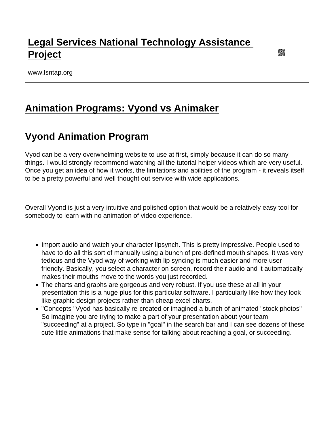# [Legal Services National Technology Assistance](https://www.lsntap.org/)  [Project](https://www.lsntap.org/)

www.lsntap.org

## [Animation Programs: Vyond vs Animaker](https://www.lsntap.org/node/217/animation-programs-vyond-vs-animaker)

### Vyond Animation Program

Vyod can be a very overwhelming website to use at first, simply because it can do so many things. I would strongly recommend watching all the tutorial helper videos which are very useful. Once you get an idea of how it works, the limitations and abilities of the program - it reveals itself to be a pretty powerful and well thought out service with wide applications.

Overall Vyond is just a very intuitive and polished option that would be a relatively easy tool for somebody to learn with no animation of video experience.

- Import audio and watch your character lipsynch. This is pretty impressive. People used to have to do all this sort of manually using a bunch of pre-defined mouth shapes. It was very tedious and the Vyod way of working with lip syncing is much easier and more userfriendly. Basically, you select a character on screen, record their audio and it automatically makes their mouths move to the words you just recorded.
- The charts and graphs are gorgeous and very robust. If you use these at all in your presentation this is a huge plus for this particular software. I particularly like how they look like graphic design projects rather than cheap excel charts.
- "Concepts" Vyod has basically re-created or imagined a bunch of animated "stock photos" So imagine you are trying to make a part of your presentation about your team "succeeding" at a project. So type in "goal" in the search bar and I can see dozens of these cute little animations that make sense for talking about reaching a goal, or succeeding.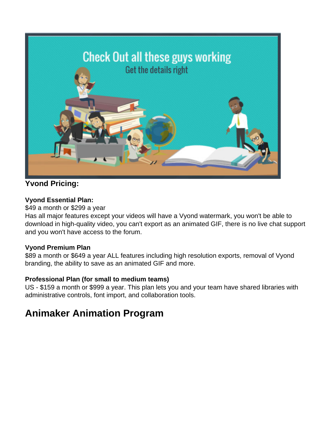

### **Yvond Pricing:**

#### **Vyond Essential Plan:**

\$49 a month or \$299 a year

Has all major features except your videos will have a Vyond watermark, you won't be able to download in high-quality video, you can't export as an animated GIF, there is no live chat support and you won't have access to the forum.

#### **Vyond Premium Plan**

\$89 a month or \$649 a year ALL features including high resolution exports, removal of Vyond branding, the ability to save as an animated GIF and more.

#### **Professional Plan (for small to medium teams)**

US - \$159 a month or \$999 a year. This plan lets you and your team have shared libraries with administrative controls, font import, and collaboration tools.

## **Animaker Animation Program**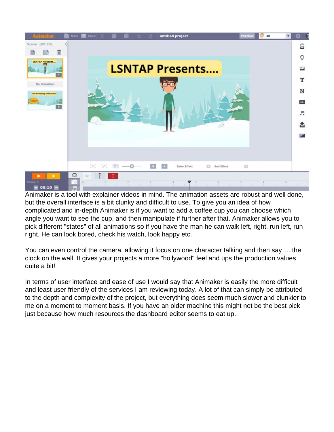

Animaker is a tool with explainer videos in mind. The animation assets are robust and well done, but the overall interface is a bit clunky and difficult to use. To give you an idea of how complicated and in-depth Animaker is if you want to add a coffee cup you can choose which angle you want to see the cup, and then manipulate if further after that. Animaker allows you to pick different "states" of all animations so if you have the man he can walk left, right, run left, run right. He can look bored, check his watch, look happy etc.

You can even control the camera, allowing it focus on one character talking and then say…. the clock on the wall. It gives your projects a more "hollywood" feel and ups the production values quite a bit!

In terms of user interface and ease of use I would say that Animaker is easily the more difficult and least user friendly of the services I am reviewing today. A lot of that can simply be attributed to the depth and complexity of the project, but everything does seem much slower and clunkier to me on a moment to moment basis. If you have an older machine this might not be the best pick just because how much resources the dashboard editor seems to eat up.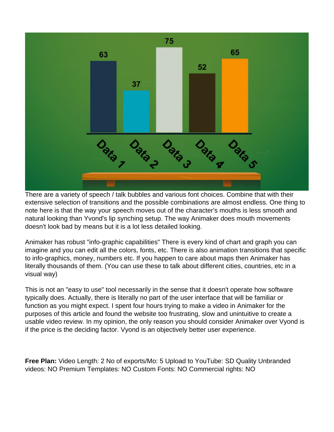

There are a variety of speech / talk bubbles and various font choices. Combine that with their extensive selection of transitions and the possible combinations are almost endless. One thing to note here is that the way your speech moves out of the character's mouths is less smooth and natural looking than Yvond's lip synching setup. The way Animaker does mouth movements doesn't look bad by means but it is a lot less detailed looking.

Animaker has robust "info-graphic capabilities" There is every kind of chart and graph you can imagine and you can edit all the colors, fonts, etc. There is also animation transitions that specific to info-graphics, money, numbers etc. If you happen to care about maps then Animaker has literally thousands of them. (You can use these to talk about different cities, countries, etc in a visual way)

This is not an "easy to use" tool necessarily in the sense that it doesn't operate how software typically does. Actually, there is literally no part of the user interface that will be familiar or function as you might expect. I spent four hours trying to make a video in Animaker for the purposes of this article and found the website too frustrating, slow and unintuitive to create a usable video review. In my opinion, the only reason you should consider Animaker over Vyond is if the price is the deciding factor. Vyond is an objectively better user experience.

**Free Plan:** Video Length: 2 No of exports/Mo: 5 Upload to YouTube: SD Quality Unbranded videos: NO Premium Templates: NO Custom Fonts: NO Commercial rights: NO